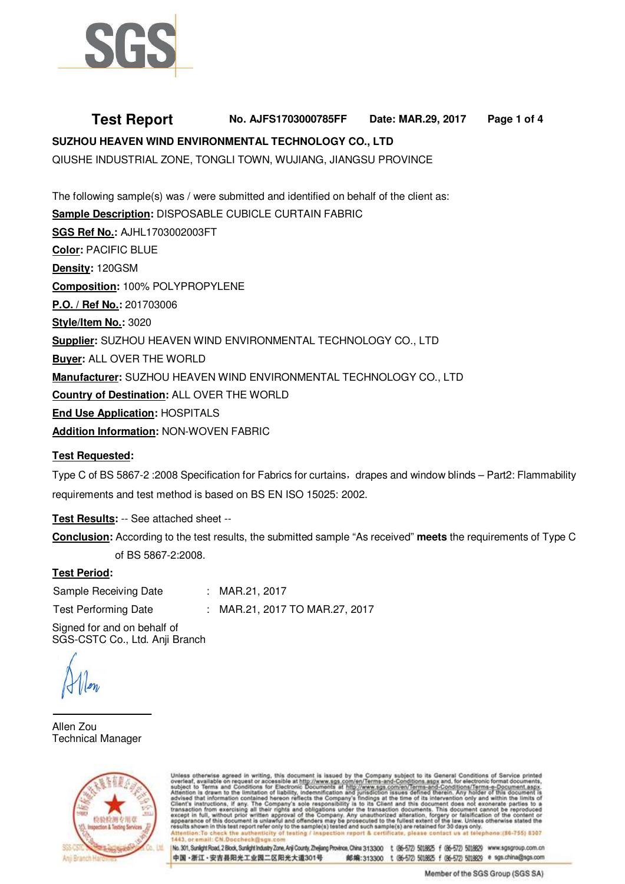

# **Test Report No. AJFS1703000785FF Date: MAR.29, 2017 Page 1 of 4**

# **SUZHOU HEAVEN WIND ENVIRONMENTAL TECHNOLOGY CO., LTD**

QIUSHE INDUSTRIAL ZONE, TONGLI TOWN, WUJIANG, JIANGSU PROVINCE

The following sample(s) was / were submitted and identified on behalf of the client as: **Sample Description:** DISPOSABLE CUBICLE CURTAIN FABRIC **SGS Ref No.:** AJHL1703002003FT **Color:** PACIFIC BLUE **Density:** 120GSM **Composition:** 100% POLYPROPYLENE **P.O. / Ref No.:** 201703006 **Style/Item No.:** 3020 **Supplier:** SUZHOU HEAVEN WIND ENVIRONMENTAL TECHNOLOGY CO., LTD **Buyer:** ALL OVER THE WORLD **Manufacturer:** SUZHOU HEAVEN WIND ENVIRONMENTAL TECHNOLOGY CO., LTD **Country of Destination:** ALL OVER THE WORLD **End Use Application:** HOSPITALS **Addition Information:** NON-WOVEN FABRIC

#### **Test Requested:**

Type C of BS 5867-2 :2008 Specification for Fabrics for curtains, drapes and window blinds – Part2: Flammability requirements and test method is based on BS EN ISO 15025: 2002.

**Test Results:** -- See attached sheet --

**Conclusion:** According to the test results, the submitted sample "As received" **meets** the requirements of Type C of BS 5867-2:2008.

### **Test Period:**

Sample Receiving Date : MAR.21, 2017 Test Performing Date : MAR.21, 2017 TO MAR.27, 2017

Signed for and on behalf of SGS-CSTC Co., Ltd. Anji Branch

Allen Zou Technical Manager



otherwise agreed in writing, this document is issued by the Company subject to its General Conditions of Service printed<br>available on request or accessible at http://www.sgs.com/en/Terms-and-Conditions.aspx and, for electr except in full, with<br>sppearance of this asudts at ort & certifica at telephone:(16-755) 6307

No. 301, Sunlight Road, 2 Block, Sunlight Industry Zone, Anji County, Zhejang Province, China 313300 1: (86-572) 5018825 f (86-572) 5018829 www.sgsgroup.com.cn 中国·浙江·安吉县阳光工业园二区阳光大道301号 邮编:313300 t (86-572) 5018625 f (86-572) 5018629 e sgs.china@sgs.com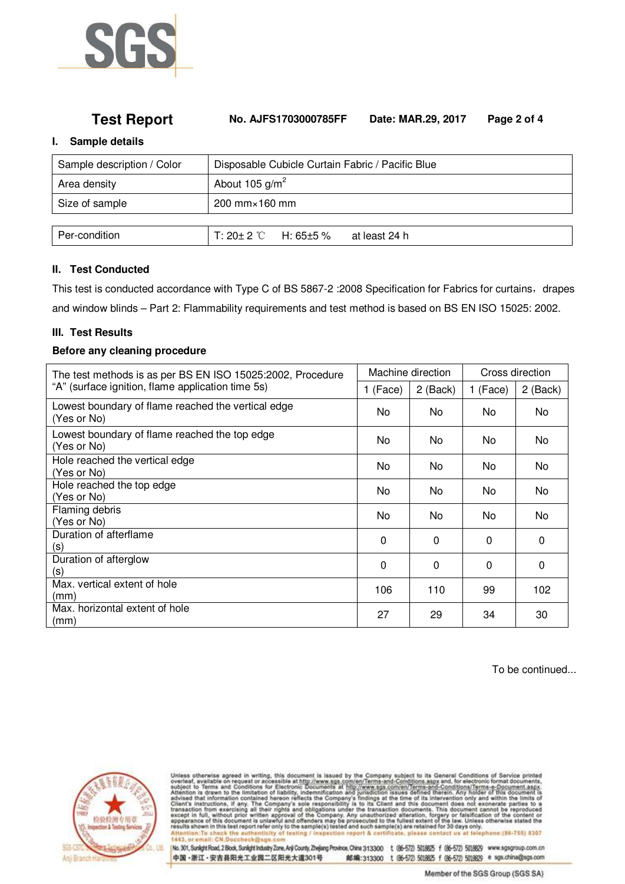

## **Test Report No. AJFS1703000785FF Date: MAR.29, 2017 Page 2 of 4**

#### **I. Sample details**

| Sample description / Color | Disposable Cubicle Curtain Fabric / Pacific Blue  |  |  |
|----------------------------|---------------------------------------------------|--|--|
| Area density               | About 105 $g/m^2$                                 |  |  |
| Size of sample             | $200$ mm $\times$ 160 mm                          |  |  |
|                            |                                                   |  |  |
| Per-condition              | $T: 20 \pm 2$ °C H: 65 $\pm$ 5 %<br>at least 24 h |  |  |

### **II. Test Conducted**

This test is conducted accordance with Type C of BS 5867-2 :2008 Specification for Fabrics for curtains, drapes and window blinds – Part 2: Flammability requirements and test method is based on BS EN ISO 15025: 2002.

#### **III. Test Results**

### **Before any cleaning procedure**

| The test methods is as per BS EN ISO 15025:2002, Procedure<br>"A" (surface ignition, flame application time 5s) |     | Machine direction |          | Cross direction |  |
|-----------------------------------------------------------------------------------------------------------------|-----|-------------------|----------|-----------------|--|
|                                                                                                                 |     | 2 (Back)          | 1 (Face) | 2 (Back)        |  |
| Lowest boundary of flame reached the vertical edge<br>(Yes or No)                                               | No. | No.               | No.      | No              |  |
| Lowest boundary of flame reached the top edge<br>(Yes or No)                                                    | No. | No.               | No.      | No              |  |
| Hole reached the vertical edge<br>(Yes or No)                                                                   | No. | No.               | No.      | <b>No</b>       |  |
| Hole reached the top edge<br>(Yes or No)                                                                        | No. | No.               | No.      | <b>No</b>       |  |
| Flaming debris<br>(Yes or No)                                                                                   | No. | No.               | No.      | <b>No</b>       |  |
| Duration of afterflame<br>(S)                                                                                   | 0   | $\Omega$          | $\Omega$ | $\Omega$        |  |
| Duration of afterglow<br>(S)                                                                                    | 0   | $\Omega$          | $\Omega$ | $\Omega$        |  |
| Max, vertical extent of hole<br>(mm)                                                                            | 106 | 110               | 99       | 102             |  |
| Max, horizontal extent of hole<br>(mm)                                                                          | 27  | 29                | 34       | 30              |  |

To be continued...



Unless otherwise agreed in writing, this document is issued by the Company subject to its General Conditions of Service printed overteat, available on request or accessible at http://www.sgs.com/en/Terms-and-Conditions.as

No. 301, Sunlight Road, 2 Block, Sunlight Industry Zone, Anji County, Zhejiang Province, China 313300 t (06-572) 5018625 f (06-572) 5018629 www.sgsgroup.com.cn 中国·浙江·安吉县阳光工业园二区阳光大道301号 邮编:313300 t (86-572) 5018625 f (86-572) 5018629 e sgs.china@sgs.com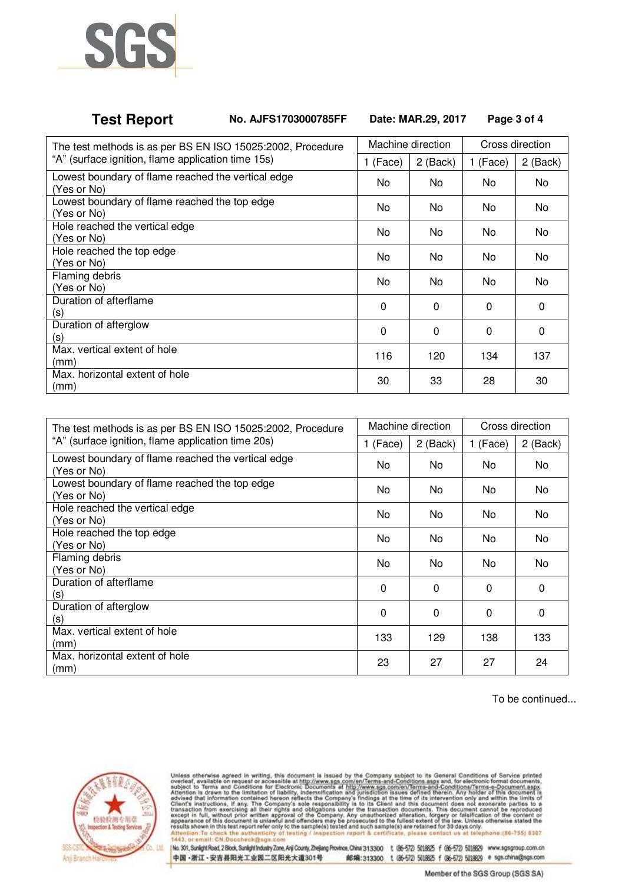

# **Test Report No. AJFS1703000785FF Date: MAR.29, 2017 Page 3 of 4**

| The test methods is as per BS EN ISO 15025:2002, Procedure        | Machine direction |          | Cross direction |          |
|-------------------------------------------------------------------|-------------------|----------|-----------------|----------|
| "A" (surface ignition, flame application time 15s)                |                   | 2 (Back) | 1 (Face)        | 2 (Back) |
| Lowest boundary of flame reached the vertical edge<br>(Yes or No) | No.               | No.      | No.             | No.      |
| Lowest boundary of flame reached the top edge<br>(Yes or No)      | No.               | No.      | No.             | No.      |
| Hole reached the vertical edge<br>(Yes or No)                     | No.               | No.      | No.             | No.      |
| Hole reached the top edge<br>(Yes or No)                          | No.               | No.      | No.             | No       |
| Flaming debris<br>(Yes or No)                                     | No.               | No.      | No.             | No.      |
| Duration of afterflame<br>(s)                                     | $\Omega$          | $\Omega$ | $\Omega$        | $\Omega$ |
| Duration of afterglow<br>(S)                                      | 0                 | 0        | 0               | $\Omega$ |
| Max. vertical extent of hole<br>(mm)                              | 116               | 120      | 134             | 137      |
| Max, horizontal extent of hole<br>(mm)                            | 30                | 33       | 28              | 30       |

| The test methods is as per BS EN ISO 15025:2002, Procedure<br>"A" (surface ignition, flame application time 20s) |     | Machine direction |          | Cross direction |  |
|------------------------------------------------------------------------------------------------------------------|-----|-------------------|----------|-----------------|--|
|                                                                                                                  |     | 2 (Back)          | 1 (Face) | 2 (Back)        |  |
| Lowest boundary of flame reached the vertical edge<br>(Yes or No)                                                | No. | No.               | No.      | No.             |  |
| Lowest boundary of flame reached the top edge<br>(Yes or No)                                                     | No  | No.               | No.      | No.             |  |
| Hole reached the vertical edge<br>(Yes or No)                                                                    | No. | No.               | No.      | No              |  |
| Hole reached the top edge<br>(Yes or No)                                                                         | No  | No.               | No.      | No.             |  |
| Flaming debris<br>(Yes or No)                                                                                    | No  | No.               | No.      | No              |  |
| Duration of afterflame<br>(s)                                                                                    | 0   | $\Omega$          | $\Omega$ | $\Omega$        |  |
| Duration of afterglow<br>(S)                                                                                     | 0   | 0                 | $\Omega$ | $\Omega$        |  |
| Max, vertical extent of hole<br>(mm)                                                                             | 133 | 129               | 138      | 133             |  |
| Max, horizontal extent of hole<br>(mm)                                                                           | 23  | 27                | 27       | 24              |  |

To be continued...



Unless otherwise agreed in writing, this document is issued by the Company subject to its General Conditions of Service printed overleaf, available on request or accessible at http://www.sps.com/en/Terms-and-Conditions.as

No. 301, Sunlight Road, 2 Block, Sunlight Industry Zone, Anji County, Zhejang Province, China 313300 t (86-572 5018825 f (86-572 5018829 www.sgsgroup.com.cn 中国·浙江·安吉县阳光工业园二区阳光大道301号 邮编:313300 t (86-572) 5018625 f (86-572) 5018629 e sgs.china@sgs.com